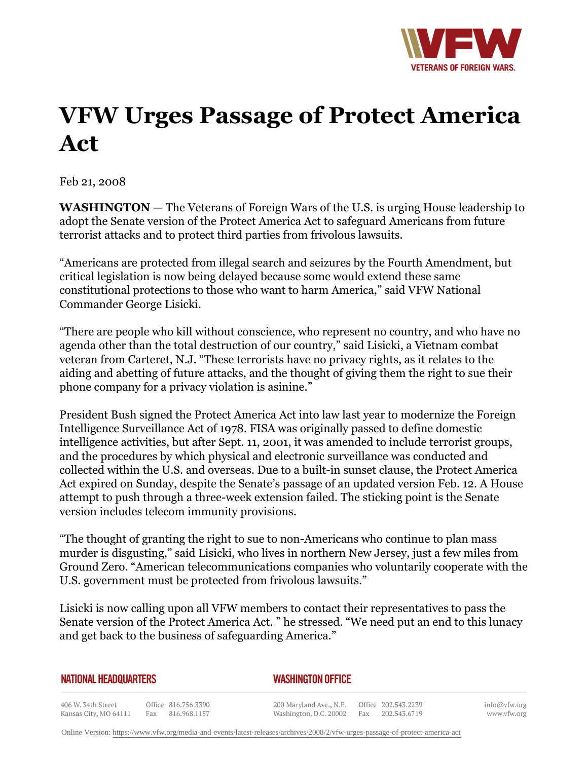

## **VFW Urges Passage of Protect America Act**

Feb 21, 2008

**WASHINGTON** *—* The Veterans of Foreign Wars of the U.S. is urging House leadership to adopt the Senate version of the Protect America Act to safeguard Americans from future terrorist attacks and to protect third parties from frivolous lawsuits.

"Americans are protected from illegal search and seizures by the Fourth Amendment, but critical legislation is now being delayed because some would extend these same constitutional protections to those who want to harm America," said VFW National Commander George Lisicki.

"There are people who kill without conscience, who represent no country, and who have no agenda other than the total destruction of our country," said Lisicki, a Vietnam combat veteran from Carteret, N.J. "These terrorists have no privacy rights, as it relates to the aiding and abetting of future attacks, and the thought of giving them the right to sue their phone company for a privacy violation is asinine."

President Bush signed the Protect America Act into law last year to modernize the Foreign Intelligence Surveillance Act of 1978. FISA was originally passed to define domestic intelligence activities, but after Sept. 11, 2001, it was amended to include terrorist groups, and the procedures by which physical and electronic surveillance was conducted and collected within the U.S. and overseas. Due to a built-in sunset clause, the Protect America Act expired on Sunday, despite the Senate's passage of an updated version Feb. 12. A House attempt to push through a three-week extension failed. The sticking point is the Senate version includes telecom immunity provisions.

"The thought of granting the right to sue to non-Americans who continue to plan mass murder is disgusting," said Lisicki, who lives in northern New Jersey, just a few miles from Ground Zero. "American telecommunications companies who voluntarily cooperate with the U.S. government must be protected from frivolous lawsuits."

Lisicki is now calling upon all VFW members to contact their representatives to pass the Senate version of the Protect America Act. " he stressed. "We need put an end to this lunacy and get back to the business of safeguarding America."

| NATIONAL HEADQUARTERS                       |  |                                         |  | <b>WASHINGTON OFFICE</b>                                                               |  |  |  |
|---------------------------------------------|--|-----------------------------------------|--|----------------------------------------------------------------------------------------|--|--|--|
| 406 W. 34th Street<br>Kansas City, MO 64111 |  | Office 816.756.3390<br>Fax 816.968.1157 |  | 200 Maryland Ave., N.E. Office 202.543.2239<br>Washington, D.C. 20002 Fax 202.543.6719 |  |  |  |

info@vfw.org www.vfw.org

Online Version:<https://www.vfw.org/media-and-events/latest-releases/archives/2008/2/vfw-urges-passage-of-protect-america-act>